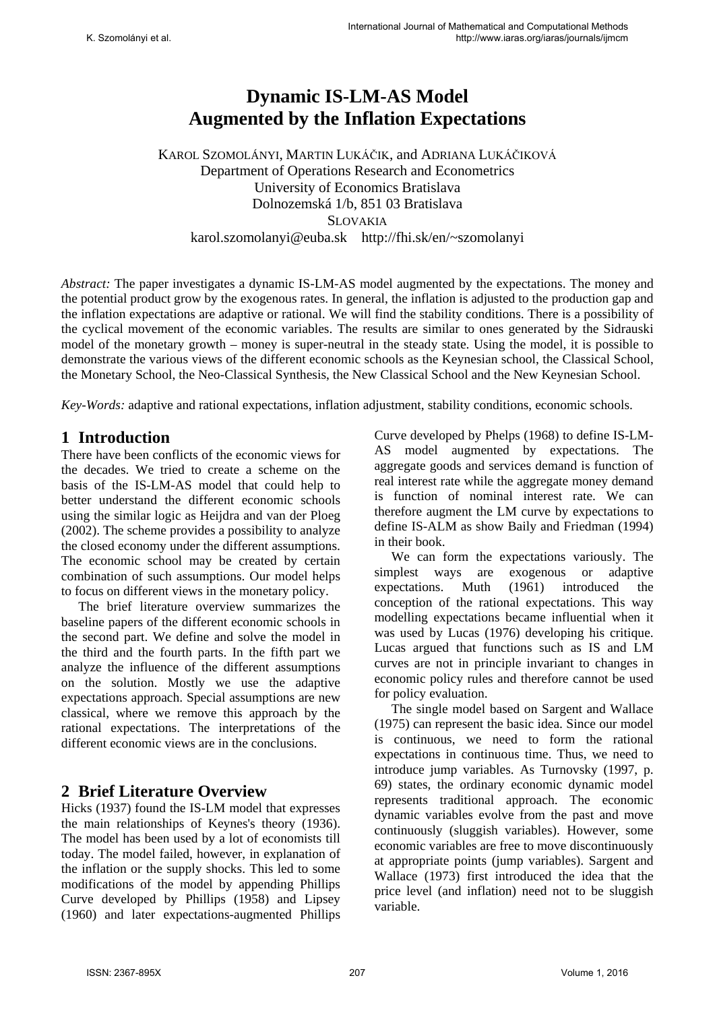# **Dynamic IS-LM-AS Model Augmented by the Inflation Expectations**

KAROL SZOMOLÁNYI, MARTIN LUKÁČIK, and ADRIANA LUKÁČIKOVÁ Department of Operations Research and Econometrics University of Economics Bratislava Dolnozemská 1/b, 851 03 Bratislava SLOVAKIA karol.szomolanyi@euba.sk http://fhi.sk/en/~szomolanyi

*Abstract:* The paper investigates a dynamic IS-LM-AS model augmented by the expectations. The money and the potential product grow by the exogenous rates. In general, the inflation is adjusted to the production gap and the inflation expectations are adaptive or rational. We will find the stability conditions. There is a possibility of the cyclical movement of the economic variables. The results are similar to ones generated by the Sidrauski model of the monetary growth – money is super-neutral in the steady state. Using the model, it is possible to demonstrate the various views of the different economic schools as the Keynesian school, the Classical School, the Monetary School, the Neo-Classical Synthesis, the New Classical School and the New Keynesian School.

*Key-Words:* adaptive and rational expectations, inflation adjustment, stability conditions, economic schools.

## **1 Introduction**

There have been conflicts of the economic views for the decades. We tried to create a scheme on the basis of the IS-LM-AS model that could help to better understand the different economic schools using the similar logic as Heijdra and van der Ploeg (2002). The scheme provides a possibility to analyze the closed economy under the different assumptions. The economic school may be created by certain combination of such assumptions. Our model helps to focus on different views in the monetary policy.

The brief literature overview summarizes the baseline papers of the different economic schools in the second part. We define and solve the model in the third and the fourth parts. In the fifth part we analyze the influence of the different assumptions on the solution. Mostly we use the adaptive expectations approach. Special assumptions are new classical, where we remove this approach by the rational expectations. The interpretations of the different economic views are in the conclusions.

## **2 Brief Literature Overview**

Hicks (1937) found the IS-LM model that expresses the main relationships of Keynes's theory (1936). The model has been used by a lot of economists till today. The model failed, however, in explanation of the inflation or the supply shocks. This led to some modifications of the model by appending Phillips Curve developed by Phillips (1958) and Lipsey (1960) and later expectations-augmented Phillips Curve developed by Phelps (1968) to define IS-LM-AS model augmented by expectations. The aggregate goods and services demand is function of real interest rate while the aggregate money demand is function of nominal interest rate. We can therefore augment the LM curve by expectations to define IS-ALM as show Baily and Friedman (1994) in their book.

We can form the expectations variously. The simplest ways are exogenous or adaptive<br>expectations. Muth (1961) introduced the expectations. Muth (1961) introduced the conception of the rational expectations. This way modelling expectations became influential when it was used by Lucas (1976) developing his critique. Lucas argued that functions such as IS and LM curves are not in principle invariant to changes in economic policy rules and therefore cannot be used for policy evaluation.

The single model based on Sargent and Wallace (1975) can represent the basic idea. Since our model is continuous, we need to form the rational expectations in continuous time. Thus, we need to introduce jump variables. As Turnovsky (1997, p. 69) states, the ordinary economic dynamic model represents traditional approach. The economic dynamic variables evolve from the past and move continuously (sluggish variables). However, some economic variables are free to move discontinuously at appropriate points (jump variables). Sargent and Wallace (1973) first introduced the idea that the price level (and inflation) need not to be sluggish variable.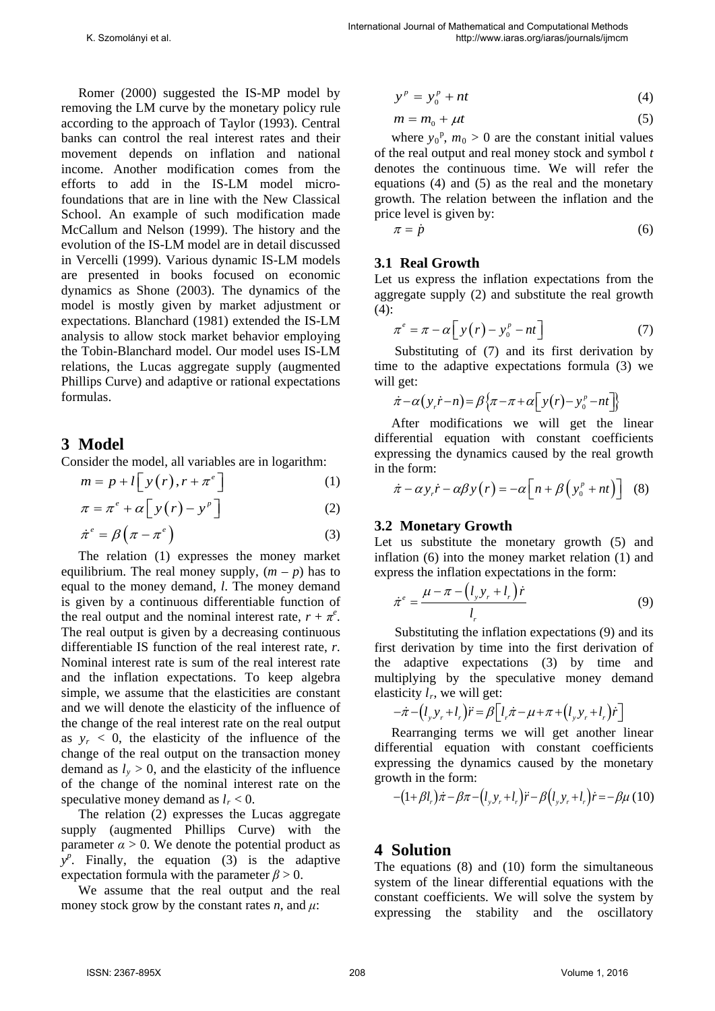Romer (2000) suggested the IS-MP model by removing the LM curve by the monetary policy rule according to the approach of Taylor (1993). Central banks can control the real interest rates and their movement depends on inflation and national income. Another modification comes from the efforts to add in the IS-LM model microfoundations that are in line with the New Classical School. An example of such modification made McCallum and Nelson (1999). The history and the evolution of the IS-LM model are in detail discussed in Vercelli (1999). Various dynamic IS-LM models are presented in books focused on economic dynamics as Shone (2003). The dynamics of the model is mostly given by market adjustment or expectations. Blanchard (1981) extended the IS-LM analysis to allow stock market behavior employing the Tobin-Blanchard model. Our model uses IS-LM relations, the Lucas aggregate supply (augmented Phillips Curve) and adaptive or rational expectations formulas.

# **3 Model**

Consider the model, all variables are in logarithm:

$$
m = p + l \left[ y(r), r + \pi^e \right] \tag{1}
$$

$$
\pi = \pi^e + \alpha \left[ y(r) - y^p \right] \tag{2}
$$

$$
\dot{\pi}^e = \beta \left(\pi - \pi^e\right) \tag{3}
$$

The relation (1) expresses the money market equilibrium. The real money supply,  $(m - p)$  has to equal to the money demand, *l*. The money demand is given by a continuous differentiable function of the real output and the nominal interest rate,  $r + \pi^e$ . The real output is given by a decreasing continuous differentiable IS function of the real interest rate, *r*. Nominal interest rate is sum of the real interest rate and the inflation expectations. To keep algebra simple, we assume that the elasticities are constant and we will denote the elasticity of the influence of the change of the real interest rate on the real output as  $y_r < 0$ , the elasticity of the influence of the change of the real output on the transaction money demand as  $l_v > 0$ , and the elasticity of the influence of the change of the nominal interest rate on the speculative money demand as  $l_r < 0$ .

The relation (2) expresses the Lucas aggregate supply (augmented Phillips Curve) with the parameter  $\alpha > 0$ . We denote the potential product as  $y^p$ . Finally, the equation (3) is the adaptive expectation formula with the parameter  $\beta > 0$ .

We assume that the real output and the real money stock grow by the constant rates *n*, and  $\mu$ :

$$
y^p = y_0^p + nt \tag{4}
$$

$$
m = m_0 + \mu t \tag{5}
$$

where  $y_0^p$ ,  $m_0 > 0$  are the constant initial values of the real output and real money stock and symbol *t* denotes the continuous time. We will refer the equations (4) and (5) as the real and the monetary growth. The relation between the inflation and the price level is given by:

$$
\pi = \dot{p} \tag{6}
$$

## **3.1 Real Growth**

Let us express the inflation expectations from the aggregate supply (2) and substitute the real growth  $(4)$ :

$$
\pi^e = \pi - \alpha \left[ y(r) - y_0^p - nt \right] \tag{7}
$$

Substituting of (7) and its first derivation by time to the adaptive expectations formula (3) we will get:

$$
\dot{\pi}-\alpha\big(\,y_r\dot{r}-n\big)=\beta\big\{\pi-\pi+\alpha\big[\,y\big(r\big)-y_0^{\,p}-nt\,\big]\big\}
$$

After modifications we will get the linear differential equation with constant coefficients expressing the dynamics caused by the real growth in the form:

$$
\dot{\pi} - \alpha y_r \dot{r} - \alpha \beta y \left( r \right) = -\alpha \left[ n + \beta \left( y_0^p + nt \right) \right] \tag{8}
$$

### **3.2 Monetary Growth**

Let us substitute the monetary growth  $(5)$  and inflation (6) into the money market relation (1) and express the inflation expectations in the form:

$$
\dot{\pi}^e = \frac{\mu - \pi - \left(l_y y_r + l_r\right) \dot{r}}{l_r} \tag{9}
$$

Substituting the inflation expectations (9) and its first derivation by time into the first derivation of the adaptive expectations (3) by time and multiplying by the speculative money demand elasticity  $l_r$ , we will get:

$$
-\dot{\pi} - (l_y y_r + l_r)\ddot{r} = \beta \left[l_r \dot{\pi} - \mu + \pi + (l_y y_r + l_r)\dot{r}\right]
$$

Rearranging terms we will get another linear differential equation with constant coefficients expressing the dynamics caused by the monetary growth in the form:

$$
-(1+\beta l_{r})\dot{\pi}-\beta\pi-(l_{y}y_{r}+l_{r})\ddot{r}-\beta(l_{y}y_{r}+l_{r})\dot{r}=-\beta\mu(10)
$$

# **4 Solution**

The equations (8) and (10) form the simultaneous system of the linear differential equations with the constant coefficients. We will solve the system by expressing the stability and the oscillatory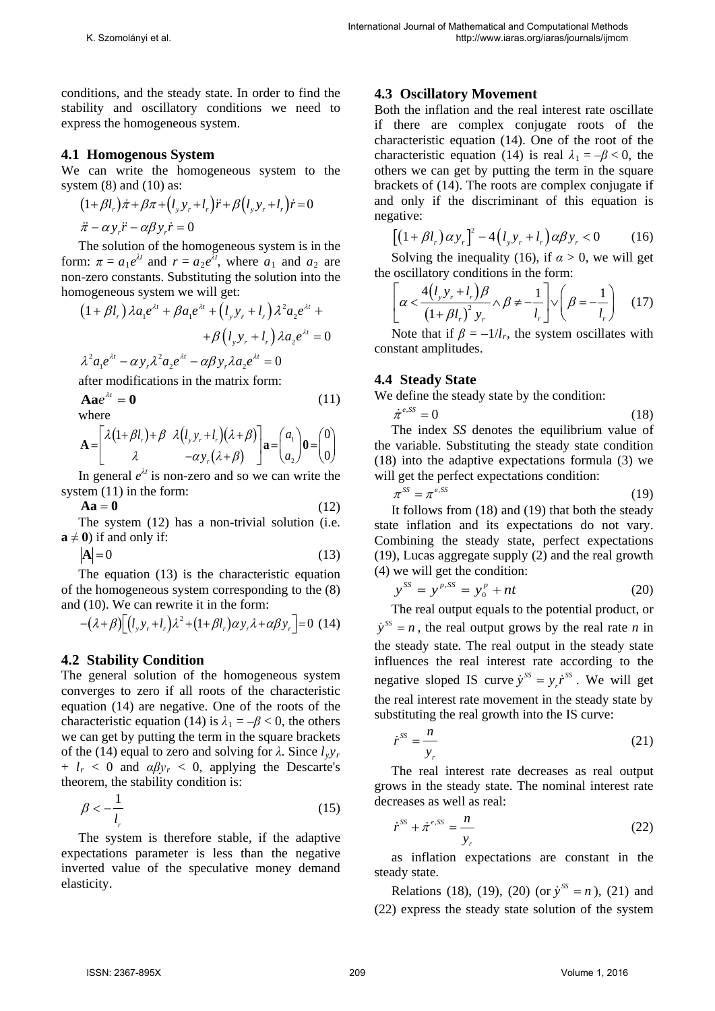conditions, and the steady state. In order to find the stability and oscillatory conditions we need to express the homogeneous system.

## **4.1 Homogenous System**

We can write the homogeneous system to the system  $(8)$  and  $(10)$  as:

$$
(1+\beta l_r)\dot{\pi} + \beta \pi + (l_y y_r + l_r)\ddot{r} + \beta (l_y y_r + l_r)\dot{r} = 0
$$

 $\ddot{\pi} - \alpha y \ddot{r} - \alpha \beta y \dot{r} = 0$ 

The solution of the homogeneous system is in the form:  $\pi = a_1 e^{\lambda t}$  and  $r = a_2 e^{\lambda t}$ , where  $a_1$  and  $a_2$  are non-zero constants. Substituting the solution into the homogeneous system we will get:

$$
(1 + \beta l_r) \lambda a_1 e^{\lambda t} + \beta a_1 e^{\lambda t} + (l_y y_r + l_r) \lambda^2 a_2 e^{\lambda t} +
$$

$$
+ \beta (l_y y_r + l_r) \lambda a_2 e^{\lambda t} = 0
$$

$$
\lambda^2 a_1 e^{\lambda t} - \alpha y_r \lambda^2 a_2 e^{\lambda t} - \alpha \beta y_r \lambda a_2 e^{\lambda t} = 0
$$

after modifications in the matrix form:

$$
\mathbf{A}\mathbf{a}e^{\lambda t} = \mathbf{0}
$$
 (11)

$$
\mathbf{A} = \begin{bmatrix} \lambda (1+\beta l_r) + \beta & \lambda (l_s y_r + l_r)(\lambda + \beta) \\ \lambda & -\alpha y_r(\lambda + \beta) \end{bmatrix} \mathbf{a} = \begin{pmatrix} a_1 \\ a_2 \end{pmatrix} \mathbf{0} = \begin{pmatrix} 0 \\ 0 \end{pmatrix}
$$

In general  $e^{\lambda t}$  is non-zero and so we can write the system (11) in the form:

$$
Aa = 0 \tag{12}
$$

The system (12) has a non-trivial solution (i.e.  $\mathbf{a} \neq \mathbf{0}$ ) if and only if:

$$
|\mathbf{A}| = 0 \tag{13}
$$

The equation (13) is the characteristic equation of the homogeneous system corresponding to the (8) and (10). We can rewrite it in the form:

$$
-(\lambda+\beta)\left[\left(l_{y}y_{r}+l_{r}\right)\lambda^{2}+\left(1+\beta l_{r}\right)\alpha y_{r}\lambda+\alpha\beta y_{r}\right]=0\tag{14}
$$

## **4.2 Stability Condition**

The general solution of the homogeneous system converges to zero if all roots of the characteristic equation (14) are negative. One of the roots of the characteristic equation (14) is  $\lambda_1 = -\beta < 0$ , the others we can get by putting the term in the square brackets of the (14) equal to zero and solving for  $\lambda$ . Since  $l_v v_r$  $+ l_r < 0$  and  $\alpha \beta y_r < 0$ , applying the Descarte's theorem, the stability condition is:

$$
\beta < -\frac{1}{l_r} \tag{15}
$$

The system is therefore stable, if the adaptive expectations parameter is less than the negative inverted value of the speculative money demand elasticity.

## **4.3 Oscillatory Movement**

Both the inflation and the real interest rate oscillate if there are complex conjugate roots of the characteristic equation (14). One of the root of the characteristic equation (14) is real  $\lambda_1 = -\beta < 0$ , the others we can get by putting the term in the square brackets of (14). The roots are complex conjugate if and only if the discriminant of this equation is negative:

$$
\left[\left(1+\beta l_r\right)\alpha y_r\right]^2 - 4\left(l_y y_r + l_r\right)\alpha \beta y_r < 0\tag{16}
$$

Solving the inequality (16), if  $\alpha > 0$ , we will get the oscillatory conditions in the form:

$$
\left[\alpha < \frac{4(l_y y_r + l_r)\beta}{\left(1 + \beta l_r\right)^2 y_r} \wedge \beta \neq -\frac{1}{l_r}\right] \vee \left(\beta = -\frac{1}{l_r}\right) \quad (17)
$$

Note that if  $\beta = -1/l_r$ , the system oscillates with constant amplitudes.

## **4.4 Steady State**

We define the steady state by the condition:

 $\dot{\pi}^{e,SS} = 0$  (18) The index *SS* denotes the equilibrium value of the variable. Substituting the steady state condition

(18) into the adaptive expectations formula (3) we will get the perfect expectations condition:

$$
\pi^{SS} = \pi^{e,SS} \tag{19}
$$

It follows from (18) and (19) that both the steady state inflation and its expectations do not vary. Combining the steady state, perfect expectations (19), Lucas aggregate supply (2) and the real growth (4) we will get the condition:

$$
y^{SS} = y^{p,SS} = y_0^p + nt \tag{20}
$$

The real output equals to the potential product, or  $\dot{y}^{ss} = n$ , the real output grows by the real rate *n* in the steady state. The real output in the steady state influences the real interest rate according to the negative sloped IS curve  $\dot{y}^{ss} = y_r \dot{r}^{ss}$ . We will get the real interest rate movement in the steady state by substituting the real growth into the IS curve:

$$
\dot{r}^{ss} = \frac{n}{y_r} \tag{21}
$$

The real interest rate decreases as real output grows in the steady state. The nominal interest rate decreases as well as real:

$$
\dot{r}^{SS} + \dot{\pi}^{e,SS} = \frac{n}{y_r} \tag{22}
$$

as inflation expectations are constant in the steady state.

Relations (18), (19), (20) (or  $\dot{y}^{ss} = n$ ), (21) and (22) express the steady state solution of the system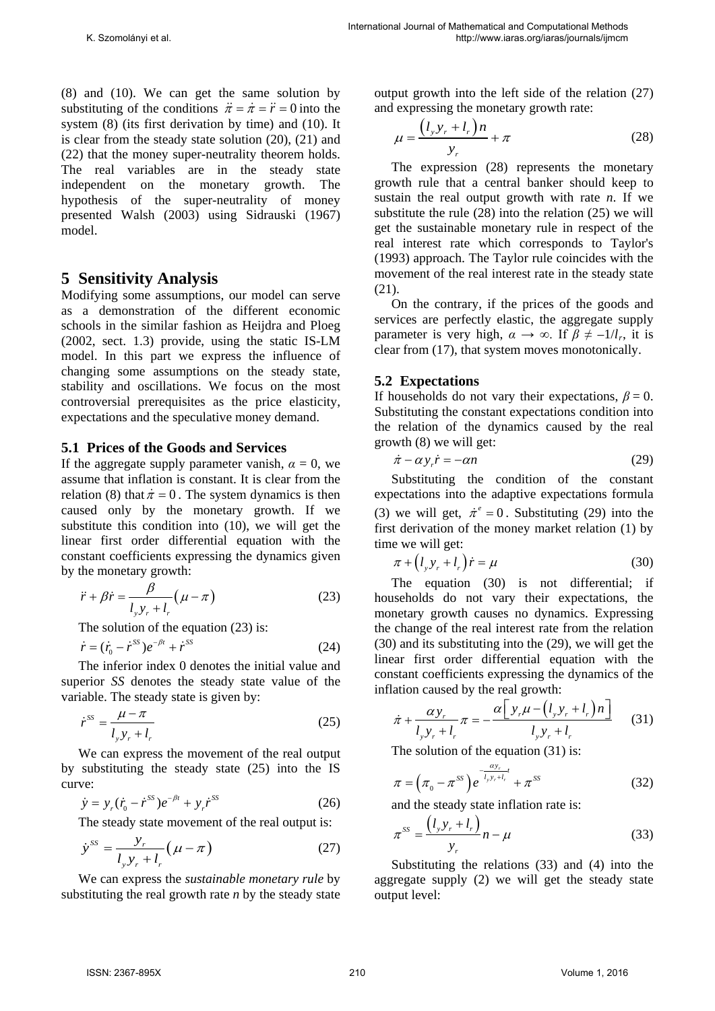(8) and (10). We can get the same solution by substituting of the conditions  $\ddot{\pi} = \dot{\pi} = \ddot{r} = 0$  into the system (8) (its first derivation by time) and (10). It is clear from the steady state solution (20), (21) and (22) that the money super-neutrality theorem holds. The real variables are in the steady state independent on the monetary growth. The hypothesis of the super-neutrality of money presented Walsh (2003) using Sidrauski (1967) model.

# **5 Sensitivity Analysis**

Modifying some assumptions, our model can serve as a demonstration of the different economic schools in the similar fashion as Heijdra and Ploeg (2002, sect. 1.3) provide, using the static IS-LM model. In this part we express the influence of changing some assumptions on the steady state, stability and oscillations. We focus on the most controversial prerequisites as the price elasticity, expectations and the speculative money demand.

### **5.1 Prices of the Goods and Services**

If the aggregate supply parameter vanish,  $\alpha = 0$ , we assume that inflation is constant. It is clear from the relation (8) that  $\dot{\pi} = 0$ . The system dynamics is then caused only by the monetary growth. If we substitute this condition into (10), we will get the linear first order differential equation with the constant coefficients expressing the dynamics given by the monetary growth:

$$
\ddot{r} + \beta \dot{r} = \frac{\beta}{l_y y_r + l_r} \left( \mu - \pi \right) \tag{23}
$$

The solution of the equation  $(23)$  is:

$$
\dot{r} = (\dot{r}_0 - \dot{r}^{SS})e^{-\beta t} + \dot{r}^{SS}
$$
 (24)

The inferior index 0 denotes the initial value and superior *SS* denotes the steady state value of the variable. The steady state is given by:

$$
\dot{r}^{ss} = \frac{\mu - \pi}{l_y y_r + l_r} \tag{25}
$$

We can express the movement of the real output by substituting the steady state (25) into the IS curve:

$$
\dot{y} = y_r (\dot{r}_0 - \dot{r}^{SS}) e^{-\beta t} + y_r \dot{r}^{SS}
$$
 (26)

The steady state movement of the real output is:

$$
\dot{y}^{ss} = \frac{y_r}{l_y y_r + l_r} (\mu - \pi) \tag{27}
$$

We can express the *sustainable monetary rule* by substituting the real growth rate *n* by the steady state output growth into the left side of the relation (27) and expressing the monetary growth rate:

$$
\mu = \frac{\left(l_y y_r + l_r\right)n}{y_r} + \pi \tag{28}
$$

The expression (28) represents the monetary growth rule that a central banker should keep to sustain the real output growth with rate *n*. If we substitute the rule (28) into the relation (25) we will get the sustainable monetary rule in respect of the real interest rate which corresponds to Taylor's (1993) approach. The Taylor rule coincides with the movement of the real interest rate in the steady state (21).

On the contrary, if the prices of the goods and services are perfectly elastic, the aggregate supply parameter is very high,  $\alpha \rightarrow \infty$ . If  $\beta \neq -1/l_r$ , it is clear from (17), that system moves monotonically.

### **5.2 Expectations**

If households do not vary their expectations,  $\beta = 0$ . Substituting the constant expectations condition into the relation of the dynamics caused by the real growth (8) we will get:

$$
\dot{\pi} - \alpha y_r \dot{r} = -\alpha n \tag{29}
$$

Substituting the condition of the constant expectations into the adaptive expectations formula (3) we will get,  $\dot{\pi}^e = 0$ . Substituting (29) into the first derivation of the money market relation (1) by time we will get:

$$
\pi + \left(l_y y_r + l_r\right) \dot{r} = \mu \tag{30}
$$

The equation (30) is not differential; if households do not vary their expectations, the monetary growth causes no dynamics. Expressing the change of the real interest rate from the relation (30) and its substituting into the (29), we will get the linear first order differential equation with the constant coefficients expressing the dynamics of the inflation caused by the real growth:

$$
\dot{\pi} + \frac{\alpha y_r}{l_y y_r + l_r} \pi = -\frac{\alpha \left[ y_r \mu - \left( l_y y_r + l_r \right) n \right]}{l_y y_r + l_r} \tag{31}
$$

The solution of the equation  $(31)$  is:

$$
\pi = (\pi_0 - \pi^{ss}) e^{-\frac{\alpha y_r}{l_{y y_r + l_r}}} + \pi^{ss}
$$
 (32)

and the steady state inflation rate is:

$$
\pi^{SS} = \frac{(l_y y_r + l_r)}{y_r} n - \mu \tag{33}
$$

Substituting the relations (33) and (4) into the aggregate supply (2) we will get the steady state output level: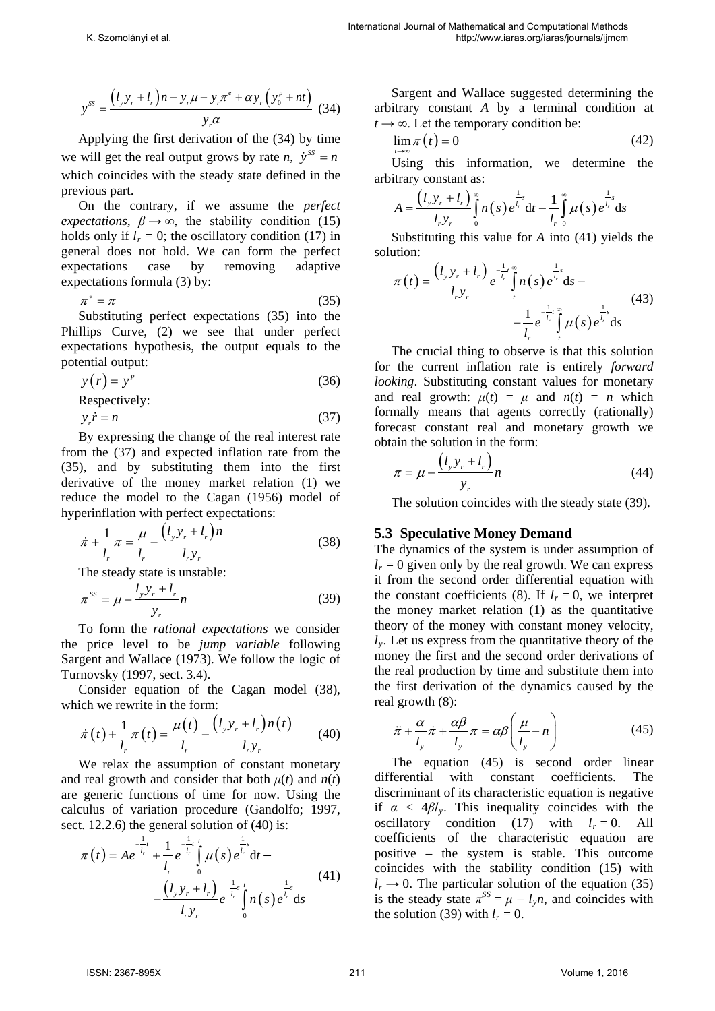$$
y^{SS} = \frac{(l_y y_r + l_r) n - y_r \mu - y_r \pi^e + \alpha y_r (y_0^p + nt)}{y_r \alpha}
$$
 (34)

Applying the first derivation of the (34) by time we will get the real output grows by rate *n*,  $\dot{y}^{ss} = n$ which coincides with the steady state defined in the previous part.

On the contrary, if we assume the *perfect expectations*,  $\beta \rightarrow \infty$ , the stability condition (15) holds only if  $l_r = 0$ ; the oscillatory condition (17) in general does not hold. We can form the perfect expectations case by removing adaptive expectations formula (3) by:

$$
\pi^e = \pi \tag{35}
$$

Substituting perfect expectations (35) into the Phillips Curve, (2) we see that under perfect expectations hypothesis, the output equals to the potential output:

$$
y(r) = yp
$$
 (36)  
Respectively:

$$
y_r \dot{r} = n \tag{37}
$$

By expressing the change of the real interest rate from the (37) and expected inflation rate from the (35), and by substituting them into the first derivative of the money market relation (1) we reduce the model to the Cagan (1956) model of hyperinflation with perfect expectations:

$$
\dot{\pi} + \frac{1}{l_r} \pi = \frac{\mu}{l_r} - \frac{(l_y y_r + l_r) n}{l_r y_r}
$$
(38)

The steady state is unstable:

$$
\pi^{SS} = \mu - \frac{l_y y_r + l_r}{y_r} n \tag{39}
$$

To form the *rational expectations* we consider the price level to be *jump variable* following Sargent and Wallace (1973). We follow the logic of Turnovsky (1997, sect. 3.4).

Consider equation of the Cagan model (38), which we rewrite in the form:

$$
\dot{\pi}(t) + \frac{1}{l_r} \pi(t) = \frac{\mu(t)}{l_r} - \frac{(l_y y_r + l_r) n(t)}{l_r y_r}
$$
(40)

We relax the assumption of constant monetary and real growth and consider that both  $\mu(t)$  and  $n(t)$ are generic functions of time for now. Using the calculus of variation procedure (Gandolfo; 1997, sect. 12.2.6) the general solution of  $(40)$  is:

$$
\pi(t) = Ae^{-\frac{1}{l_r}t} + \frac{1}{l_r}e^{-\frac{1}{l_r}t}\int_{0}^{t} \mu(s)e^{\frac{1}{l_r}s}dt - \frac{(l_y y_r + l_r)}{l_r y_r}e^{-\frac{1}{l_r}s}\int_{0}^{t} n(s)e^{\frac{1}{l_r}s}ds
$$
\n(41)

Sargent and Wallace suggested determining the arbitrary constant *A* by a terminal condition at  $t \rightarrow \infty$ . Let the temporary condition be:

$$
\lim_{t \to \infty} \pi(t) = 0 \tag{42}
$$

Using this information, we determine the arbitrary constant as:

$$
A = \frac{(l_{y}y_{r} + l_{r})}{l_{r}y_{r}} \int_{0}^{\infty} n(s) e^{\frac{1}{l_{r}}s} dt - \frac{1}{l_{r}} \int_{0}^{\infty} \mu(s) e^{\frac{1}{l_{r}}s} ds
$$

Substituting this value for *A* into (41) yields the solution:

$$
\pi(t) = \frac{\left(l_y y_r + l_r\right)}{l_r y_r} e^{-\frac{1}{l_r}t} \int_{t}^{\infty} n(s) e^{\frac{1}{l_r}s} ds - \frac{1}{l_r} e^{-\frac{1}{l_r}t} \int_{t}^{\infty} \mu(s) e^{\frac{1}{l_r}s} ds \tag{43}
$$

The crucial thing to observe is that this solution for the current inflation rate is entirely *forward looking*. Substituting constant values for monetary and real growth:  $\mu(t) = \mu$  and  $n(t) = n$  which formally means that agents correctly (rationally) forecast constant real and monetary growth we obtain the solution in the form:

$$
\pi = \mu - \frac{\left(l_y y_r + l_r\right)}{y_r} n \tag{44}
$$

The solution coincides with the steady state (39).

### **5.3 Speculative Money Demand**

The dynamics of the system is under assumption of  $l_r = 0$  given only by the real growth. We can express it from the second order differential equation with the constant coefficients (8). If  $l_r = 0$ , we interpret the money market relation (1) as the quantitative theory of the money with constant money velocity,  $l<sub>v</sub>$ . Let us express from the quantitative theory of the money the first and the second order derivations of the real production by time and substitute them into the first derivation of the dynamics caused by the real growth (8):

$$
\ddot{\pi} + \frac{\alpha}{l_y} \dot{\pi} + \frac{\alpha \beta}{l_y} \pi = \alpha \beta \left( \frac{\mu}{l_y} - n \right)
$$
 (45)

The equation (45) is second order linear differential with constant coefficients. The discriminant of its characteristic equation is negative if  $\alpha < 4\beta l_v$ . This inequality coincides with the oscillatory condition (17) with  $l_r = 0$ . All coefficients of the characteristic equation are positive – the system is stable. This outcome coincides with the stability condition (15) with  $l_r \rightarrow 0$ . The particular solution of the equation (35) is the steady state  $\pi^{SS} = \mu - l_y n$ , and coincides with the solution (39) with  $l_r = 0$ .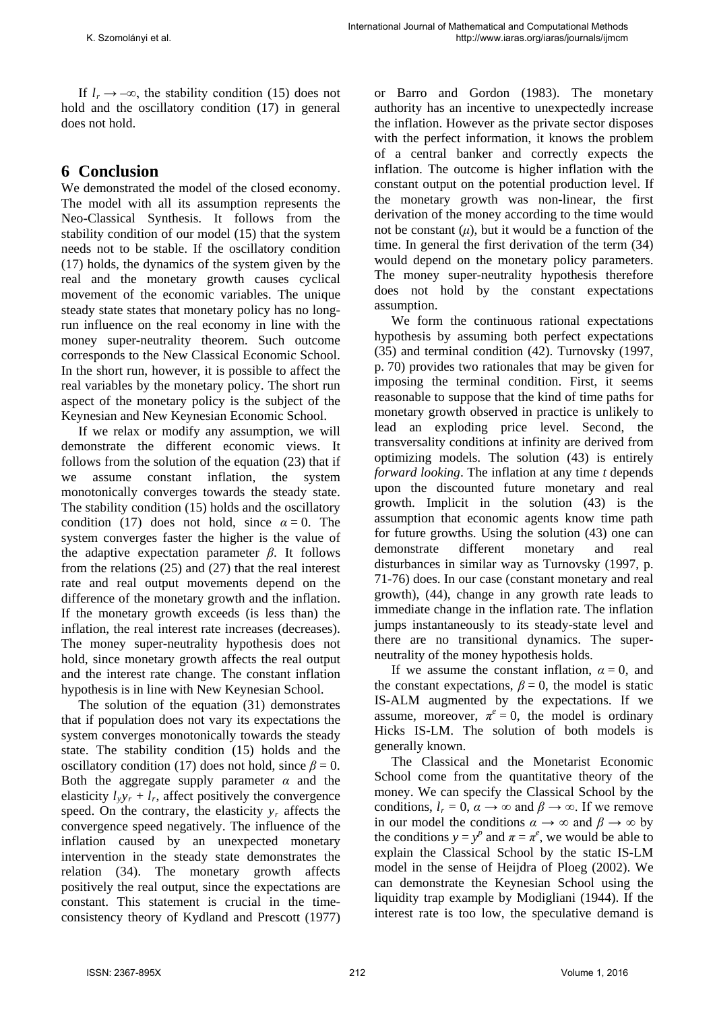If  $l_r \rightarrow -\infty$ , the stability condition (15) does not hold and the oscillatory condition (17) in general does not hold.

# **6 Conclusion**

We demonstrated the model of the closed economy. The model with all its assumption represents the Neo-Classical Synthesis. It follows from the stability condition of our model (15) that the system needs not to be stable. If the oscillatory condition (17) holds, the dynamics of the system given by the real and the monetary growth causes cyclical movement of the economic variables. The unique steady state states that monetary policy has no longrun influence on the real economy in line with the money super-neutrality theorem. Such outcome corresponds to the New Classical Economic School. In the short run, however, it is possible to affect the real variables by the monetary policy. The short run aspect of the monetary policy is the subject of the Keynesian and New Keynesian Economic School.

If we relax or modify any assumption, we will demonstrate the different economic views. It follows from the solution of the equation (23) that if we assume constant inflation, the system monotonically converges towards the steady state. The stability condition (15) holds and the oscillatory condition (17) does not hold, since  $\alpha = 0$ . The system converges faster the higher is the value of the adaptive expectation parameter *β*. It follows from the relations (25) and (27) that the real interest rate and real output movements depend on the difference of the monetary growth and the inflation. If the monetary growth exceeds (is less than) the inflation, the real interest rate increases (decreases). The money super-neutrality hypothesis does not hold, since monetary growth affects the real output and the interest rate change. The constant inflation hypothesis is in line with New Keynesian School.

The solution of the equation (31) demonstrates that if population does not vary its expectations the system converges monotonically towards the steady state. The stability condition (15) holds and the oscillatory condition (17) does not hold, since  $\beta = 0$ . Both the aggregate supply parameter  $\alpha$  and the elasticity  $l_v v_r + l_r$ , affect positively the convergence speed. On the contrary, the elasticity  $y_r$  affects the convergence speed negatively. The influence of the inflation caused by an unexpected monetary intervention in the steady state demonstrates the relation (34). The monetary growth affects positively the real output, since the expectations are constant. This statement is crucial in the timeconsistency theory of Kydland and Prescott (1977) or Barro and Gordon (1983). The monetary authority has an incentive to unexpectedly increase the inflation. However as the private sector disposes with the perfect information, it knows the problem of a central banker and correctly expects the inflation. The outcome is higher inflation with the constant output on the potential production level. If the monetary growth was non-linear, the first derivation of the money according to the time would not be constant  $(\mu)$ , but it would be a function of the time. In general the first derivation of the term (34) would depend on the monetary policy parameters. The money super-neutrality hypothesis therefore does not hold by the constant expectations assumption.

We form the continuous rational expectations hypothesis by assuming both perfect expectations (35) and terminal condition (42). Turnovsky (1997, p. 70) provides two rationales that may be given for imposing the terminal condition. First, it seems reasonable to suppose that the kind of time paths for monetary growth observed in practice is unlikely to lead an exploding price level. Second, the transversality conditions at infinity are derived from optimizing models. The solution (43) is entirely *forward looking*. The inflation at any time *t* depends upon the discounted future monetary and real growth. Implicit in the solution (43) is the assumption that economic agents know time path for future growths. Using the solution (43) one can demonstrate different monetary and real disturbances in similar way as Turnovsky (1997, p. 71-76) does. In our case (constant monetary and real growth), (44), change in any growth rate leads to immediate change in the inflation rate. The inflation jumps instantaneously to its steady-state level and there are no transitional dynamics. The superneutrality of the money hypothesis holds.

If we assume the constant inflation,  $\alpha = 0$ , and the constant expectations,  $\beta = 0$ , the model is static IS-ALM augmented by the expectations. If we assume, moreover,  $\pi^e = 0$ , the model is ordinary Hicks IS-LM. The solution of both models is generally known.

The Classical and the Monetarist Economic School come from the quantitative theory of the money. We can specify the Classical School by the conditions,  $l_r = 0$ ,  $\alpha \rightarrow \infty$  and  $\beta \rightarrow \infty$ . If we remove in our model the conditions  $\alpha \rightarrow \infty$  and  $\beta \rightarrow \infty$  by the conditions  $y = y^p$  and  $\pi = \pi^e$ , we would be able to explain the Classical School by the static IS-LM model in the sense of Heijdra of Ploeg (2002). We can demonstrate the Keynesian School using the liquidity trap example by Modigliani (1944). If the interest rate is too low, the speculative demand is